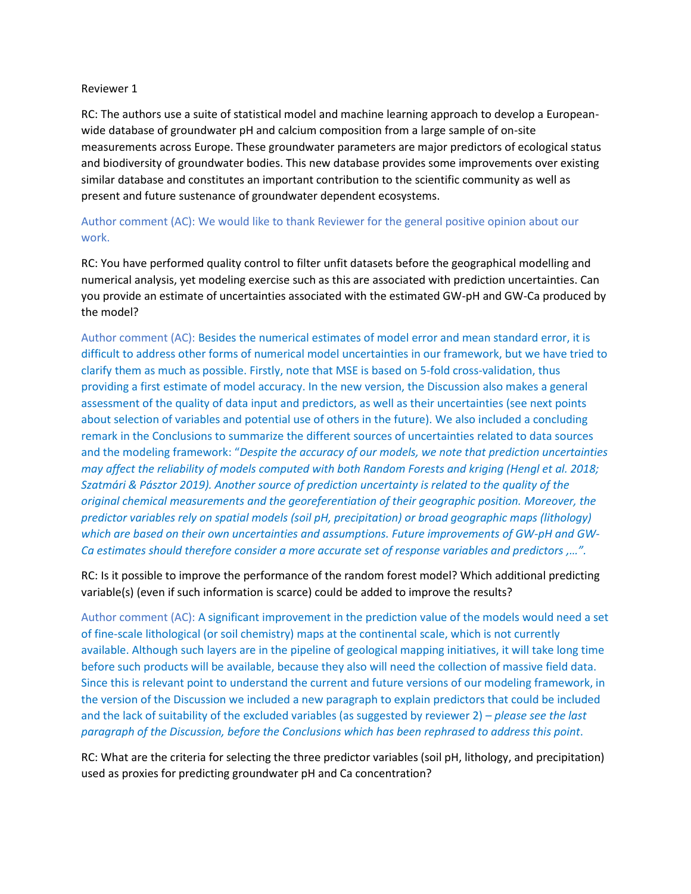## Reviewer 1

RC: The authors use a suite of statistical model and machine learning approach to develop a Europeanwide database of groundwater pH and calcium composition from a large sample of on-site measurements across Europe. These groundwater parameters are major predictors of ecological status and biodiversity of groundwater bodies. This new database provides some improvements over existing similar database and constitutes an important contribution to the scientific community as well as present and future sustenance of groundwater dependent ecosystems.

## Author comment (AC): We would like to thank Reviewer for the general positive opinion about our work.

RC: You have performed quality control to filter unfit datasets before the geographical modelling and numerical analysis, yet modeling exercise such as this are associated with prediction uncertainties. Can you provide an estimate of uncertainties associated with the estimated GW-pH and GW-Ca produced by the model?

Author comment (AC): Besides the numerical estimates of model error and mean standard error, it is difficult to address other forms of numerical model uncertainties in our framework, but we have tried to clarify them as much as possible. Firstly, note that MSE is based on 5-fold cross-validation, thus providing a first estimate of model accuracy. In the new version, the Discussion also makes a general assessment of the quality of data input and predictors, as well as their uncertainties (see next points about selection of variables and potential use of others in the future). We also included a concluding remark in the Conclusions to summarize the different sources of uncertainties related to data sources and the modeling framework: "*Despite the accuracy of our models, we note that prediction uncertainties may affect the reliability of models computed with both Random Forests and kriging (Hengl et al. 2018; Szatmári & Pásztor 2019). Another source of prediction uncertainty is related to the quality of the original chemical measurements and the georeferentiation of their geographic position. Moreover, the predictor variables rely on spatial models (soil pH, precipitation) or broad geographic maps (lithology) which are based on their own uncertainties and assumptions. Future improvements of GW-pH and GW-Ca estimates should therefore consider a more accurate set of response variables and predictors ,…".*

RC: Is it possible to improve the performance of the random forest model? Which additional predicting variable(s) (even if such information is scarce) could be added to improve the results?

Author comment (AC): A significant improvement in the prediction value of the models would need a set of fine-scale lithological (or soil chemistry) maps at the continental scale, which is not currently available. Although such layers are in the pipeline of geological mapping initiatives, it will take long time before such products will be available, because they also will need the collection of massive field data. Since this is relevant point to understand the current and future versions of our modeling framework, in the version of the Discussion we included a new paragraph to explain predictors that could be included and the lack of suitability of the excluded variables (as suggested by reviewer 2) – *please see the last paragraph of the Discussion, before the Conclusions which has been rephrased to address this point*.

RC: What are the criteria for selecting the three predictor variables (soil pH, lithology, and precipitation) used as proxies for predicting groundwater pH and Ca concentration?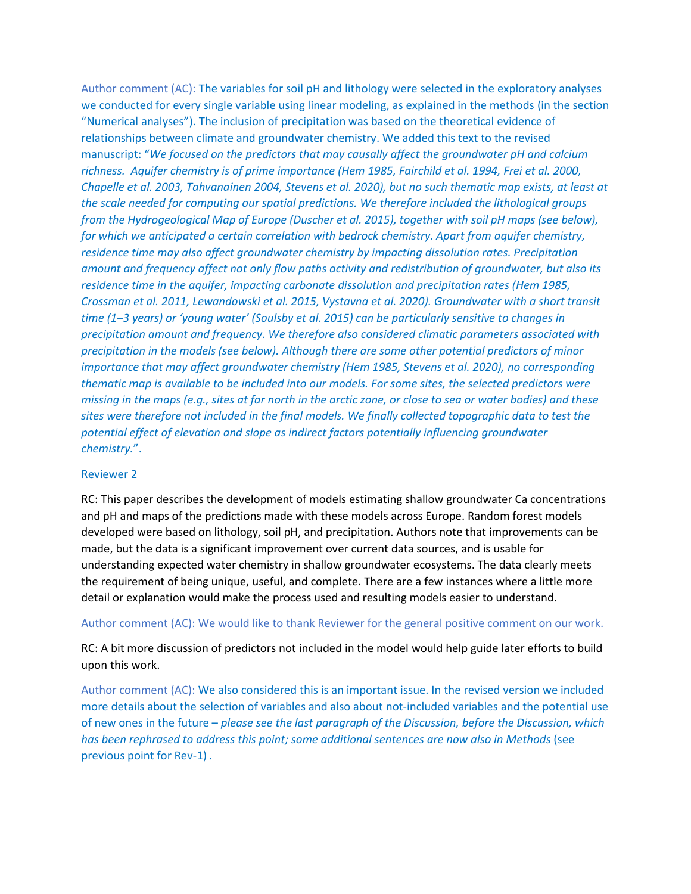Author comment (AC): The variables for soil pH and lithology were selected in the exploratory analyses we conducted for every single variable using linear modeling, as explained in the methods (in the section "Numerical analyses"). The inclusion of precipitation was based on the theoretical evidence of relationships between climate and groundwater chemistry. We added this text to the revised manuscript: "*We focused on the predictors that may causally affect the groundwater pH and calcium richness. Aquifer chemistry is of prime importance (Hem 1985, Fairchild et al. 1994, Frei et al. 2000, Chapelle et al. 2003, Tahvanainen 2004, Stevens et al. 2020), but no such thematic map exists, at least at the scale needed for computing our spatial predictions. We therefore included the lithological groups from the Hydrogeological Map of Europe (Duscher et al. 2015), together with soil pH maps (see below), for which we anticipated a certain correlation with bedrock chemistry. Apart from aquifer chemistry, residence time may also affect groundwater chemistry by impacting dissolution rates. Precipitation amount and frequency affect not only flow paths activity and redistribution of groundwater, but also its residence time in the aquifer, impacting carbonate dissolution and precipitation rates (Hem 1985, Crossman et al. 2011, Lewandowski et al. 2015, Vystavna et al. 2020). Groundwater with a short transit time (1–3 years) or 'young water' (Soulsby et al. 2015) can be particularly sensitive to changes in precipitation amount and frequency. We therefore also considered climatic parameters associated with precipitation in the models (see below). Although there are some other potential predictors of minor importance that may affect groundwater chemistry (Hem 1985, Stevens et al. 2020), no corresponding thematic map is available to be included into our models. For some sites, the selected predictors were missing in the maps (e.g., sites at far north in the arctic zone, or close to sea or water bodies) and these sites were therefore not included in the final models. We finally collected topographic data to test the potential effect of elevation and slope as indirect factors potentially influencing groundwater chemistry.*".

## Reviewer 2

RC: This paper describes the development of models estimating shallow groundwater Ca concentrations and pH and maps of the predictions made with these models across Europe. Random forest models developed were based on lithology, soil pH, and precipitation. Authors note that improvements can be made, but the data is a significant improvement over current data sources, and is usable for understanding expected water chemistry in shallow groundwater ecosystems. The data clearly meets the requirement of being unique, useful, and complete. There are a few instances where a little more detail or explanation would make the process used and resulting models easier to understand.

Author comment (AC): We would like to thank Reviewer for the general positive comment on our work.

RC: A bit more discussion of predictors not included in the model would help guide later efforts to build upon this work.

Author comment (AC): We also considered this is an important issue. In the revised version we included more details about the selection of variables and also about not-included variables and the potential use of new ones in the future – *please see the last paragraph of the Discussion, before the Discussion, which has been rephrased to address this point; some additional sentences are now also in Methods* (see previous point for Rev-1) *.*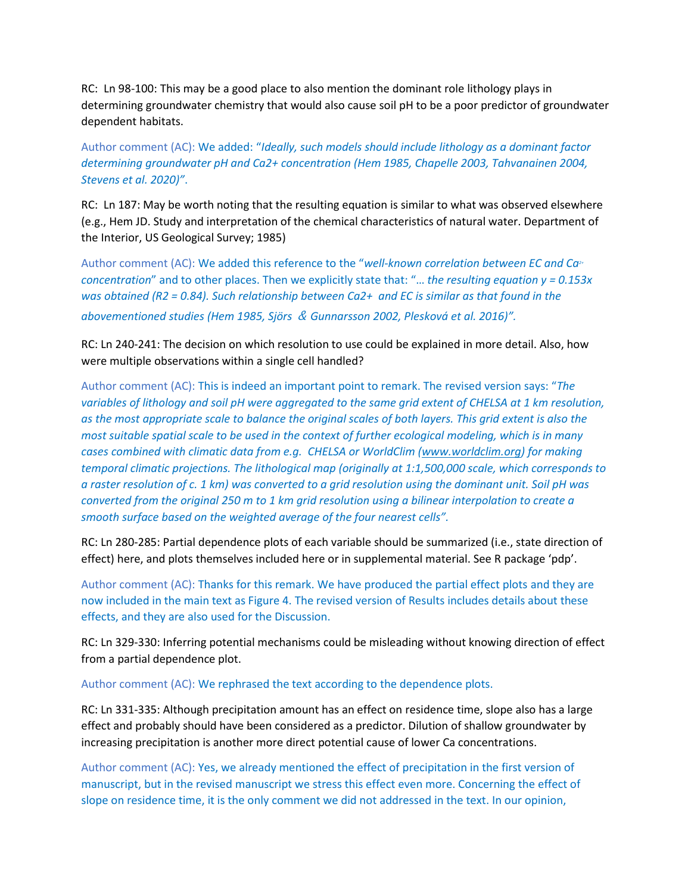RC: Ln 98-100: This may be a good place to also mention the dominant role lithology plays in determining groundwater chemistry that would also cause soil pH to be a poor predictor of groundwater dependent habitats.

Author comment (AC): We added: "*Ideally, such models should include lithology as a dominant factor determining groundwater pH and Ca2+ concentration (Hem 1985, Chapelle 2003, Tahvanainen 2004, Stevens et al. 2020)"*.

RC: Ln 187: May be worth noting that the resulting equation is similar to what was observed elsewhere (e.g., Hem JD. Study and interpretation of the chemical characteristics of natural water. Department of the Interior, US Geological Survey; 1985)

Author comment (AC): We added this reference to the "*well-known correlation between EC and Ca2+ concentration*" and to other places. Then we explicitly state that: "… *the resulting equation y = 0.153x was obtained (R2 = 0.84). Such relationship between Ca2+ and EC is similar as that found in the abovementioned studies (Hem 1985, Sjörs* & *Gunnarsson 2002, Plesková et al. 2016)".*

RC: Ln 240-241: The decision on which resolution to use could be explained in more detail. Also, how were multiple observations within a single cell handled?

Author comment (AC): This is indeed an important point to remark. The revised version says: "*The variables of lithology and soil pH were aggregated to the same grid extent of CHELSA at 1 km resolution, as the most appropriate scale to balance the original scales of both layers. This grid extent is also the most suitable spatial scale to be used in the context of further ecological modeling, which is in many cases combined with climatic data from e.g. CHELSA or WorldClim [\(www.worldclim.org\)](http://www.worldclim.org/) for making temporal climatic projections. The lithological map (originally at 1:1,500,000 scale, which corresponds to a raster resolution of c. 1 km) was converted to a grid resolution using the dominant unit. Soil pH was converted from the original 250 m to 1 km grid resolution using a bilinear interpolation to create a smooth surface based on the weighted average of the four nearest cells".*

RC: Ln 280-285: Partial dependence plots of each variable should be summarized (i.e., state direction of effect) here, and plots themselves included here or in supplemental material. See R package 'pdp'.

Author comment (AC): Thanks for this remark. We have produced the partial effect plots and they are now included in the main text as Figure 4. The revised version of Results includes details about these effects, and they are also used for the Discussion.

RC: Ln 329-330: Inferring potential mechanisms could be misleading without knowing direction of effect from a partial dependence plot.

Author comment (AC): We rephrased the text according to the dependence plots.

RC: Ln 331-335: Although precipitation amount has an effect on residence time, slope also has a large effect and probably should have been considered as a predictor. Dilution of shallow groundwater by increasing precipitation is another more direct potential cause of lower Ca concentrations.

Author comment (AC): Yes, we already mentioned the effect of precipitation in the first version of manuscript, but in the revised manuscript we stress this effect even more. Concerning the effect of slope on residence time, it is the only comment we did not addressed in the text. In our opinion,